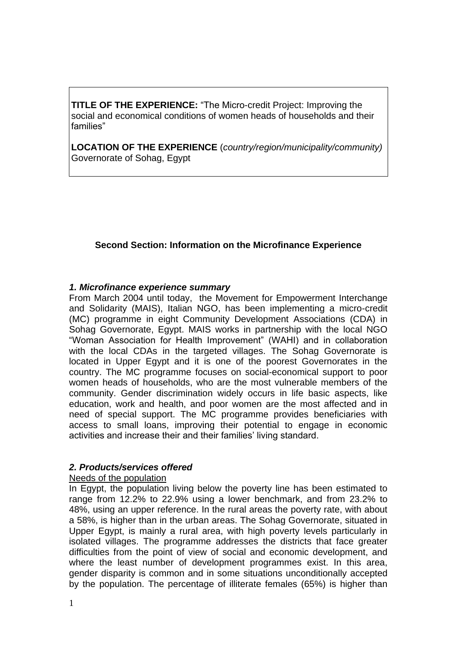**TITLE OF THE EXPERIENCE:** "The Micro-credit Project: Improving the social and economical conditions of women heads of households and their families"

**LOCATION OF THE EXPERIENCE** (*country/region/municipality/community)* Governorate of Sohag, Egypt

# **Second Section: Information on the Microfinance Experience**

### *1. Microfinance experience summary*

From March 2004 until today, the Movement for Empowerment Interchange and Solidarity (MAIS), Italian NGO, has been implementing a micro-credit (MC) programme in eight Community Development Associations (CDA) in Sohag Governorate, Egypt. MAIS works in partnership with the local NGO "Woman Association for Health Improvement" (WAHI) and in collaboration with the local CDAs in the targeted villages. The Sohag Governorate is located in Upper Egypt and it is one of the poorest Governorates in the country. The MC programme focuses on social-economical support to poor women heads of households, who are the most vulnerable members of the community. Gender discrimination widely occurs in life basic aspects, like education, work and health, and poor women are the most affected and in need of special support. The MC programme provides beneficiaries with access to small loans, improving their potential to engage in economic activities and increase their and their families' living standard.

## *2. Products/services offered*

## Needs of the population

In Egypt, the population living below the poverty line has been estimated to range from 12.2% to 22.9% using a lower benchmark, and from 23.2% to 48%, using an upper reference. In the rural areas the poverty rate, with about a 58%, is higher than in the urban areas. The Sohag Governorate, situated in Upper Egypt, is mainly a rural area, with high poverty levels particularly in isolated villages. The programme addresses the districts that face greater difficulties from the point of view of social and economic development, and where the least number of development programmes exist. In this area, gender disparity is common and in some situations unconditionally accepted by the population. The percentage of illiterate females (65%) is higher than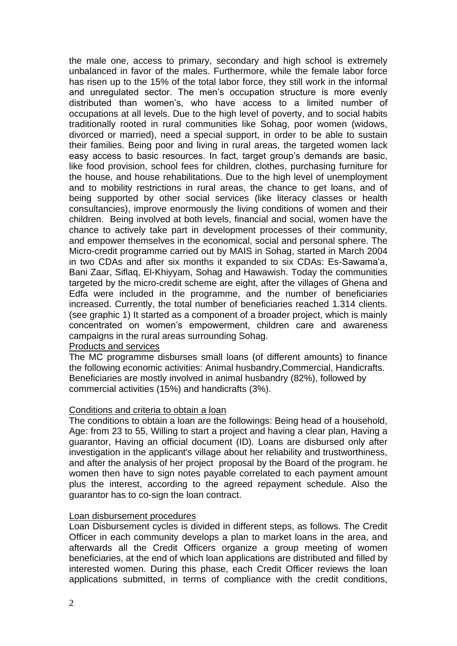the male one, access to primary, secondary and high school is extremely unbalanced in favor of the males. Furthermore, while the female labor force has risen up to the 15% of the total labor force, they still work in the informal and unregulated sector. The men's occupation structure is more evenly distributed than women's, who have access to a limited number of occupations at all levels. Due to the high level of poverty, and to social habits traditionally rooted in rural communities like Sohag, poor women (widows, divorced or married), need a special support, in order to be able to sustain their families. Being poor and living in rural areas, the targeted women lack easy access to basic resources. In fact, target group's demands are basic, like food provision, school fees for children, clothes, purchasing furniture for the house, and house rehabilitations. Due to the high level of unemployment and to mobility restrictions in rural areas, the chance to get loans, and of being supported by other social services (like literacy classes or health consultancies), improve enormously the living conditions of women and their children. Being involved at both levels, financial and social, women have the chance to actively take part in development processes of their community, and empower themselves in the economical, social and personal sphere. The Micro-credit programme carried out by MAIS in Sohag, started in March 2004 in two CDAs and after six months it expanded to six CDAs: Es-Sawama'a, Bani Zaar, Siflaq, El-Khiyyam, Sohag and Hawawish. Today the communities targeted by the micro-credit scheme are eight, after the villages of Ghena and Edfa were included in the programme, and the number of beneficiaries increased. Currently, the total number of beneficiaries reached 1.314 clients. (see graphic 1) It started as a component of a broader project, which is mainly concentrated on women's empowerment, children care and awareness campaigns in the rural areas surrounding Sohag.

### Products and services

The MC programme disburses small loans (of different amounts) to finance the following economic activities: Animal husbandry,Commercial, Handicrafts. Beneficiaries are mostly involved in animal husbandry (82%), followed by commercial activities (15%) and handicrafts (3%).

### Conditions and criteria to obtain a loan

The conditions to obtain a loan are the followings: Being head of a household, Age: from 23 to 55, Willing to start a project and having a clear plan, Having a guarantor, Having an official document (ID). Loans are disbursed only after investigation in the applicant's village about her reliability and trustworthiness, and after the analysis of her project proposal by the Board of the program. he women then have to sign notes payable correlated to each payment amount plus the interest, according to the agreed repayment schedule. Also the guarantor has to co-sign the loan contract.

### Loan disbursement procedures

Loan Disbursement cycles is divided in different steps, as follows. The Credit Officer in each community develops a plan to market loans in the area, and afterwards all the Credit Officers organize a group meeting of women beneficiaries, at the end of which loan applications are distributed and filled by interested women. During this phase, each Credit Officer reviews the loan applications submitted, in terms of compliance with the credit conditions,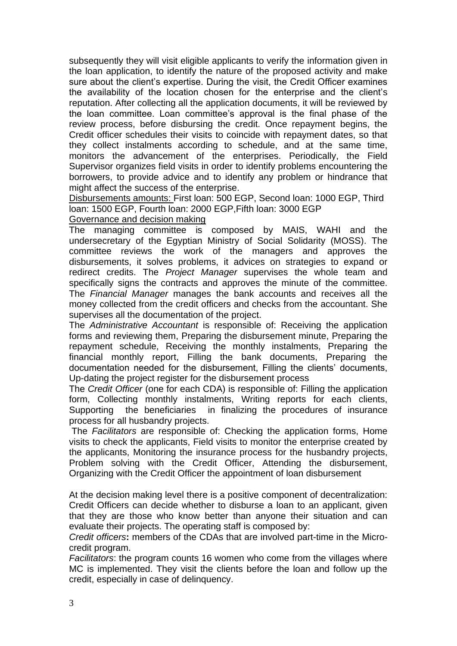subsequently they will visit eligible applicants to verify the information given in the loan application, to identify the nature of the proposed activity and make sure about the client's expertise. During the visit, the Credit Officer examines the availability of the location chosen for the enterprise and the client's reputation. After collecting all the application documents, it will be reviewed by the loan committee. Loan committee's approval is the final phase of the review process, before disbursing the credit. Once repayment begins, the Credit officer schedules their visits to coincide with repayment dates, so that they collect instalments according to schedule, and at the same time, monitors the advancement of the enterprises. Periodically, the Field Supervisor organizes field visits in order to identify problems encountering the borrowers, to provide advice and to identify any problem or hindrance that might affect the success of the enterprise.

Disbursements amounts: First loan: 500 EGP, Second loan: 1000 EGP, Third loan: 1500 EGP, Fourth loan: 2000 EGP,Fifth loan: 3000 EGP

## Governance and decision making

The managing committee is composed by MAIS, WAHI and the undersecretary of the Egyptian Ministry of Social Solidarity (MOSS). The committee reviews the work of the managers and approves the disbursements, it solves problems, it advices on strategies to expand or redirect credits. The *Project Manager* supervises the whole team and specifically signs the contracts and approves the minute of the committee. The *Financial Manager* manages the bank accounts and receives all the money collected from the credit officers and checks from the accountant. She supervises all the documentation of the project.

The *Administrative Accountant* is responsible of: Receiving the application forms and reviewing them, Preparing the disbursement minute, Preparing the repayment schedule, Receiving the monthly instalments, Preparing the financial monthly report, Filling the bank documents, Preparing the documentation needed for the disbursement, Filling the clients' documents, Up-dating the project register for the disbursement process

The *Credit Officer* (one for each CDA) is responsible of: Filling the application form, Collecting monthly instalments, Writing reports for each clients, Supporting the beneficiaries in finalizing the procedures of insurance process for all husbandry projects.

The *Facilitators* are responsible of: Checking the application forms, Home visits to check the applicants, Field visits to monitor the enterprise created by the applicants, Monitoring the insurance process for the husbandry projects, Problem solving with the Credit Officer, Attending the disbursement, Organizing with the Credit Officer the appointment of loan disbursement

At the decision making level there is a positive component of decentralization: Credit Officers can decide whether to disburse a loan to an applicant, given that they are those who know better than anyone their situation and can evaluate their projects. The operating staff is composed by:

*Credit officers***:** members of the CDAs that are involved part-time in the Microcredit program.

*Facilitators*: the program counts 16 women who come from the villages where MC is implemented. They visit the clients before the loan and follow up the credit, especially in case of delinquency.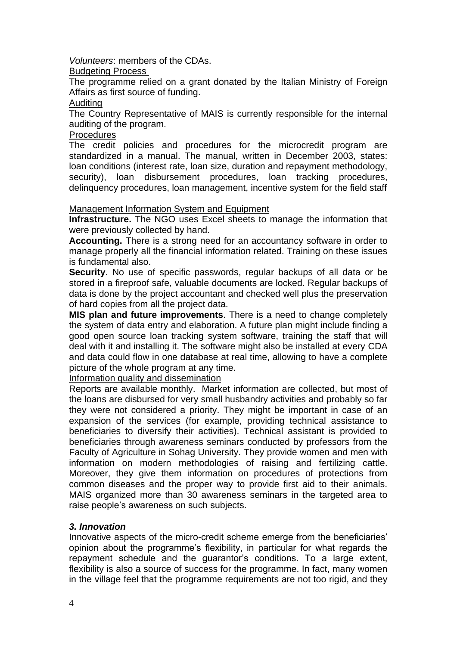*Volunteers*: members of the CDAs.

## Budgeting Process

The programme relied on a grant donated by the Italian Ministry of Foreign Affairs as first source of funding.

### Auditing

The Country Representative of MAIS is currently responsible for the internal auditing of the program.

## **Procedures**

The credit policies and procedures for the microcredit program are standardized in a manual. The manual, written in December 2003, states: loan conditions (interest rate, loan size, duration and repayment methodology, security), loan disbursement procedures, loan tracking procedures, delinquency procedures, loan management, incentive system for the field staff

### Management Information System and Equipment

**Infrastructure.** The NGO uses Excel sheets to manage the information that were previously collected by hand.

**Accounting.** There is a strong need for an accountancy software in order to manage properly all the financial information related. Training on these issues is fundamental also.

**Security**. No use of specific passwords, regular backups of all data or be stored in a fireproof safe, valuable documents are locked. Regular backups of data is done by the project accountant and checked well plus the preservation of hard copies from all the project data.

**MIS plan and future improvements**. There is a need to change completely the system of data entry and elaboration. A future plan might include finding a good open source loan tracking system software, training the staff that will deal with it and installing it. The software might also be installed at every CDA and data could flow in one database at real time, allowing to have a complete picture of the whole program at any time.

Information quality and dissemination

Reports are available monthly. Market information are collected, but most of the loans are disbursed for very small husbandry activities and probably so far they were not considered a priority. They might be important in case of an expansion of the services (for example, providing technical assistance to beneficiaries to diversify their activities). Technical assistant is provided to beneficiaries through awareness seminars conducted by professors from the Faculty of Agriculture in Sohag University. They provide women and men with information on modern methodologies of raising and fertilizing cattle. Moreover, they give them information on procedures of protections from common diseases and the proper way to provide first aid to their animals. MAIS organized more than 30 awareness seminars in the targeted area to raise people's awareness on such subjects.

## *3. Innovation*

Innovative aspects of the micro-credit scheme emerge from the beneficiaries' opinion about the programme's flexibility, in particular for what regards the repayment schedule and the guarantor's conditions. To a large extent, flexibility is also a source of success for the programme. In fact, many women in the village feel that the programme requirements are not too rigid, and they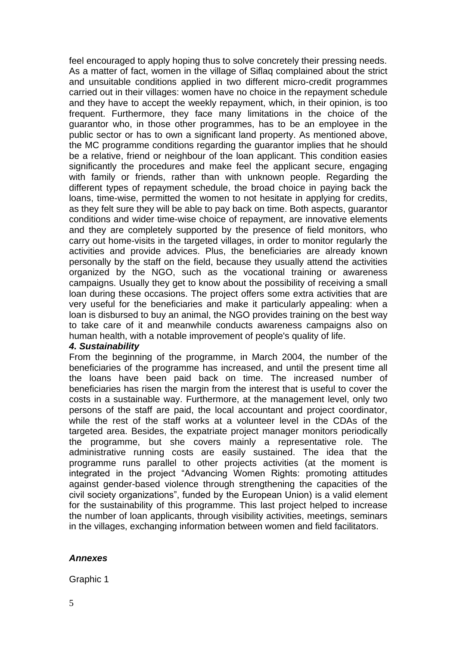feel encouraged to apply hoping thus to solve concretely their pressing needs. As a matter of fact, women in the village of Siflaq complained about the strict and unsuitable conditions applied in two different micro-credit programmes carried out in their villages: women have no choice in the repayment schedule and they have to accept the weekly repayment, which, in their opinion, is too frequent. Furthermore, they face many limitations in the choice of the guarantor who, in those other programmes, has to be an employee in the public sector or has to own a significant land property. As mentioned above, the MC programme conditions regarding the guarantor implies that he should be a relative, friend or neighbour of the loan applicant. This condition easies significantly the procedures and make feel the applicant secure, engaging with family or friends, rather than with unknown people. Regarding the different types of repayment schedule, the broad choice in paying back the loans, time-wise, permitted the women to not hesitate in applying for credits, as they felt sure they will be able to pay back on time. Both aspects, guarantor conditions and wider time-wise choice of repayment, are innovative elements and they are completely supported by the presence of field monitors, who carry out home-visits in the targeted villages, in order to monitor regularly the activities and provide advices. Plus, the beneficiaries are already known personally by the staff on the field, because they usually attend the activities organized by the NGO, such as the vocational training or awareness campaigns. Usually they get to know about the possibility of receiving a small loan during these occasions. The project offers some extra activities that are very useful for the beneficiaries and make it particularly appealing: when a loan is disbursed to buy an animal, the NGO provides training on the best way to take care of it and meanwhile conducts awareness campaigns also on human health, with a notable improvement of people's quality of life.

### *4. Sustainability*

From the beginning of the programme, in March 2004, the number of the beneficiaries of the programme has increased, and until the present time all the loans have been paid back on time. The increased number of beneficiaries has risen the margin from the interest that is useful to cover the costs in a sustainable way. Furthermore, at the management level, only two persons of the staff are paid, the local accountant and project coordinator, while the rest of the staff works at a volunteer level in the CDAs of the targeted area. Besides, the expatriate project manager monitors periodically the programme, but she covers mainly a representative role. The administrative running costs are easily sustained. The idea that the programme runs parallel to other projects activities (at the moment is integrated in the project "Advancing Women Rights: promoting attitudes against gender-based violence through strengthening the capacities of the civil society organizations", funded by the European Union) is a valid element for the sustainability of this programme. This last project helped to increase the number of loan applicants, through visibility activities, meetings, seminars in the villages, exchanging information between women and field facilitators.

### *Annexes*

Graphic 1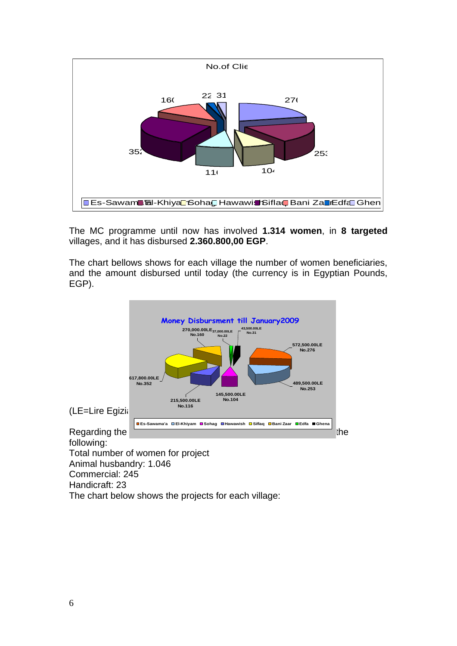

The MC programme until now has involved **1.314 women**, in **8 targeted** villages, and it has disbursed **2.360.800,00 EGP**.

The chart bellows shows for each village the number of women beneficiaries, and the amount disbursed until today (the currency is in Egyptian Pounds, EGP).



following: Total number of women for project Animal husbandry: 1.046 Commercial: 245

Handicraft: 23

The chart below shows the projects for each village: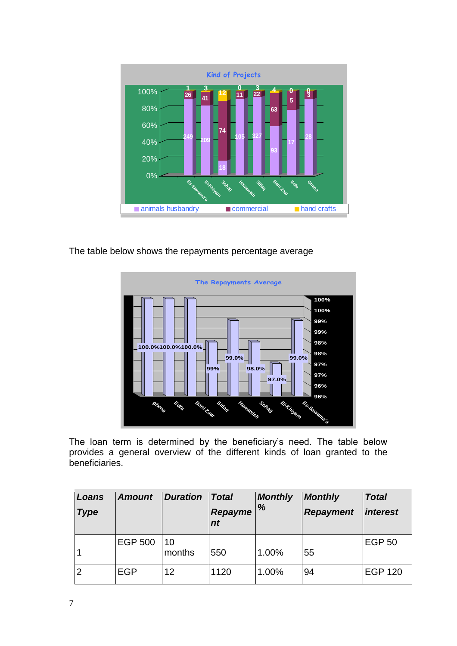

The table below shows the repayments percentage average



The loan term is determined by the beneficiary's need. The table below provides a general overview of the different kinds of loan granted to the beneficiaries.

| Loans<br><b>Type</b> | <b>Amount</b>  | <b>Duration</b> | <b>Total</b><br>Repayme<br>$n_{t}$ | <b>Monthly</b><br>% | <b>Monthly</b><br><b>Repayment</b> | <b>Total</b><br><i>interest</i> |
|----------------------|----------------|-----------------|------------------------------------|---------------------|------------------------------------|---------------------------------|
|                      | <b>EGP 500</b> | 10<br>months    | 550                                | 1.00%               | 55                                 | <b>EGP 50</b>                   |
| $\overline{2}$       | <b>EGP</b>     | 12              | 1120                               | 1.00%               | 94                                 | <b>EGP 120</b>                  |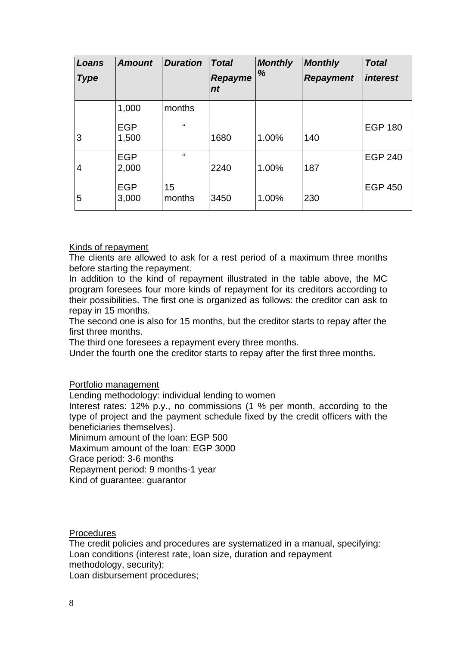| Loans<br><b>Type</b> | <b>Amount</b> | <b>Duration</b> | <b>Total</b><br>Repayme<br>nt | <b>Monthly</b><br>% | <b>Monthly</b><br><b>Repayment</b> | <b>Total</b><br><i>interest</i> |
|----------------------|---------------|-----------------|-------------------------------|---------------------|------------------------------------|---------------------------------|
|                      | 1,000         | months          |                               |                     |                                    |                                 |
|                      | <b>EGP</b>    | $\epsilon$      |                               |                     |                                    | <b>EGP 180</b>                  |
| 3                    | 1,500         |                 | 1680                          | 1.00%               | 140                                |                                 |
|                      | <b>EGP</b>    | $\epsilon$      |                               |                     |                                    | <b>EGP 240</b>                  |
| 4                    | 2,000         |                 | 2240                          | 1.00%               | 187                                |                                 |
|                      | <b>EGP</b>    | 15              |                               |                     |                                    | <b>EGP 450</b>                  |
| 5                    | 3,000         | months          | 3450                          | 1.00%               | 230                                |                                 |

### Kinds of repayment

The clients are allowed to ask for a rest period of a maximum three months before starting the repayment.

In addition to the kind of repayment illustrated in the table above, the MC program foresees four more kinds of repayment for its creditors according to their possibilities. The first one is organized as follows: the creditor can ask to repay in 15 months.

The second one is also for 15 months, but the creditor starts to repay after the first three months.

The third one foresees a repayment every three months.

Under the fourth one the creditor starts to repay after the first three months.

Portfolio management

Lending methodology: individual lending to women

Interest rates: 12% p.y., no commissions (1 % per month, according to the type of project and the payment schedule fixed by the credit officers with the beneficiaries themselves).

Minimum amount of the loan: EGP 500

Maximum amount of the loan: EGP 3000

Grace period: 3-6 months

Repayment period: 9 months-1 year

Kind of guarantee: guarantor

**Procedures** 

The credit policies and procedures are systematized in a manual, specifying: Loan conditions (interest rate, loan size, duration and repayment methodology, security);

Loan disbursement procedures;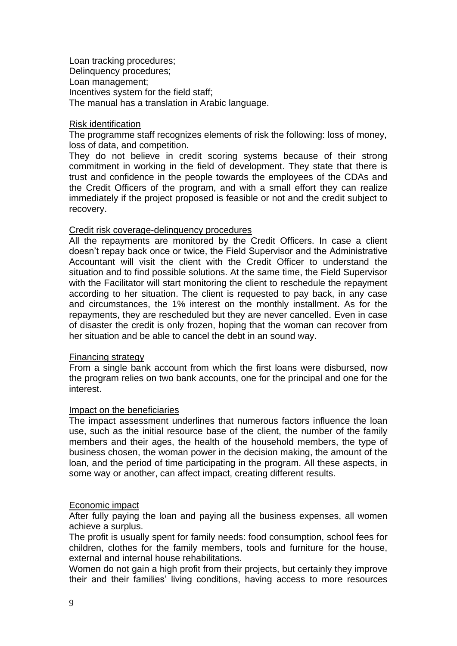Loan tracking procedures; Delinquency procedures; Loan management; Incentives system for the field staff; The manual has a translation in Arabic language.

#### Risk identification

The programme staff recognizes elements of risk the following: loss of money, loss of data, and competition.

They do not believe in credit scoring systems because of their strong commitment in working in the field of development. They state that there is trust and confidence in the people towards the employees of the CDAs and the Credit Officers of the program, and with a small effort they can realize immediately if the project proposed is feasible or not and the credit subject to recovery.

### Credit risk coverage-delinquency procedures

All the repayments are monitored by the Credit Officers. In case a client doesn't repay back once or twice, the Field Supervisor and the Administrative Accountant will visit the client with the Credit Officer to understand the situation and to find possible solutions. At the same time, the Field Supervisor with the Facilitator will start monitoring the client to reschedule the repayment according to her situation. The client is requested to pay back, in any case and circumstances, the 1% interest on the monthly installment. As for the repayments, they are rescheduled but they are never cancelled. Even in case of disaster the credit is only frozen, hoping that the woman can recover from her situation and be able to cancel the debt in an sound way.

### Financing strategy

From a single bank account from which the first loans were disbursed, now the program relies on two bank accounts, one for the principal and one for the interest.

### Impact on the beneficiaries

The impact assessment underlines that numerous factors influence the loan use, such as the initial resource base of the client, the number of the family members and their ages, the health of the household members, the type of business chosen, the woman power in the decision making, the amount of the loan, and the period of time participating in the program. All these aspects, in some way or another, can affect impact, creating different results.

### Economic impact

After fully paying the loan and paying all the business expenses, all women achieve a surplus.

The profit is usually spent for family needs: food consumption, school fees for children, clothes for the family members, tools and furniture for the house, external and internal house rehabilitations.

Women do not gain a high profit from their projects, but certainly they improve their and their families' living conditions, having access to more resources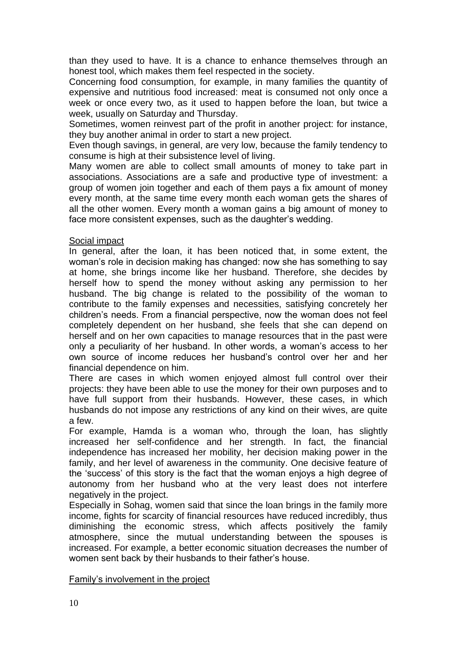than they used to have. It is a chance to enhance themselves through an honest tool, which makes them feel respected in the society.

Concerning food consumption, for example, in many families the quantity of expensive and nutritious food increased: meat is consumed not only once a week or once every two, as it used to happen before the loan, but twice a week, usually on Saturday and Thursday.

Sometimes, women reinvest part of the profit in another project: for instance, they buy another animal in order to start a new project.

Even though savings, in general, are very low, because the family tendency to consume is high at their subsistence level of living.

Many women are able to collect small amounts of money to take part in associations. Associations are a safe and productive type of investment: a group of women join together and each of them pays a fix amount of money every month, at the same time every month each woman gets the shares of all the other women. Every month a woman gains a big amount of money to face more consistent expenses, such as the daughter's wedding.

### Social impact

In general, after the loan, it has been noticed that, in some extent, the woman's role in decision making has changed: now she has something to say at home, she brings income like her husband. Therefore, she decides by herself how to spend the money without asking any permission to her husband. The big change is related to the possibility of the woman to contribute to the family expenses and necessities, satisfying concretely her children's needs. From a financial perspective, now the woman does not feel completely dependent on her husband, she feels that she can depend on herself and on her own capacities to manage resources that in the past were only a peculiarity of her husband. In other words, a woman's access to her own source of income reduces her husband's control over her and her financial dependence on him.

There are cases in which women enjoyed almost full control over their projects: they have been able to use the money for their own purposes and to have full support from their husbands. However, these cases, in which husbands do not impose any restrictions of any kind on their wives, are quite a few.

For example, Hamda is a woman who, through the loan, has slightly increased her self-confidence and her strength. In fact, the financial independence has increased her mobility, her decision making power in the family, and her level of awareness in the community. One decisive feature of the 'success' of this story is the fact that the woman enjoys a high degree of autonomy from her husband who at the very least does not interfere negatively in the project.

Especially in Sohag, women said that since the loan brings in the family more income, fights for scarcity of financial resources have reduced incredibly, thus diminishing the economic stress, which affects positively the family atmosphere, since the mutual understanding between the spouses is increased. For example, a better economic situation decreases the number of women sent back by their husbands to their father's house.

### Family's involvement in the project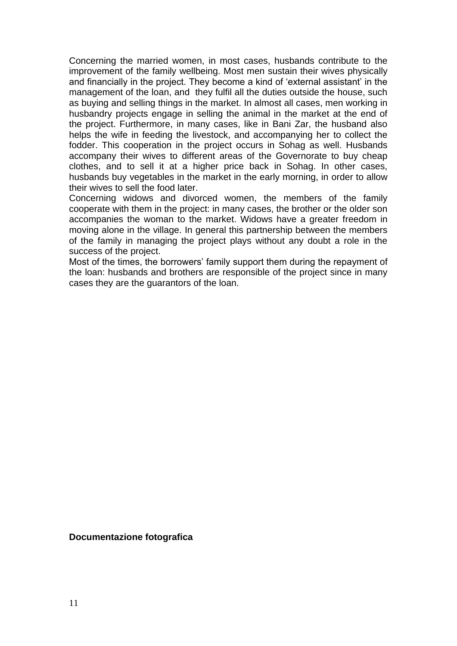Concerning the married women, in most cases, husbands contribute to the improvement of the family wellbeing. Most men sustain their wives physically and financially in the project. They become a kind of 'external assistant' in the management of the loan, and they fulfil all the duties outside the house, such as buying and selling things in the market. In almost all cases, men working in husbandry projects engage in selling the animal in the market at the end of the project. Furthermore, in many cases, like in Bani Zar, the husband also helps the wife in feeding the livestock, and accompanying her to collect the fodder. This cooperation in the project occurs in Sohag as well. Husbands accompany their wives to different areas of the Governorate to buy cheap clothes, and to sell it at a higher price back in Sohag. In other cases, husbands buy vegetables in the market in the early morning, in order to allow their wives to sell the food later.

Concerning widows and divorced women, the members of the family cooperate with them in the project: in many cases, the brother or the older son accompanies the woman to the market. Widows have a greater freedom in moving alone in the village. In general this partnership between the members of the family in managing the project plays without any doubt a role in the success of the project.

Most of the times, the borrowers' family support them during the repayment of the loan: husbands and brothers are responsible of the project since in many cases they are the guarantors of the loan.

**Documentazione fotografica**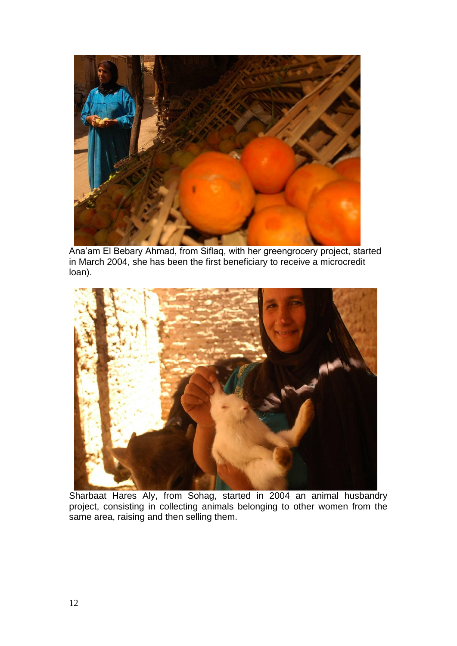

Ana'am El Bebary Ahmad, from Siflaq, with her greengrocery project, started in March 2004, she has been the first beneficiary to receive a microcredit loan).



Sharbaat Hares Aly, from Sohag, started in 2004 an animal husbandry project, consisting in collecting animals belonging to other women from the same area, raising and then selling them.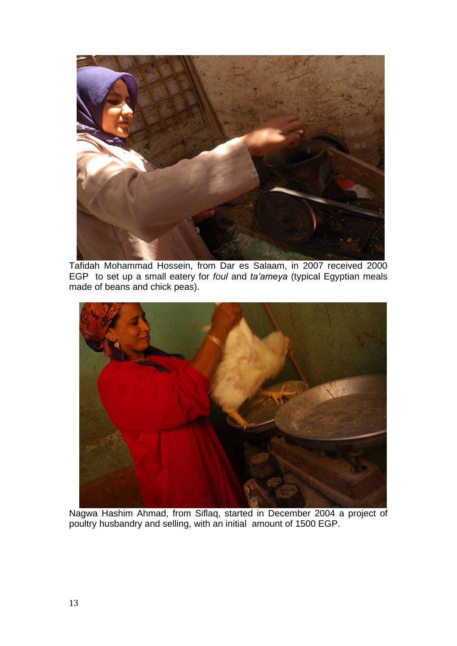

Tafidah Mohammad Hossein, from Dar es Salaam, in 2007 received 2000 EGP to set up a small eatery for *foul* and *ta'ameya* (typical Egyptian meals made of beans and chick peas).



Nagwa Hashim Ahmad, from Siflaq, started in December 2004 a project of poultry husbandry and selling, with an initial amount of 1500 EGP.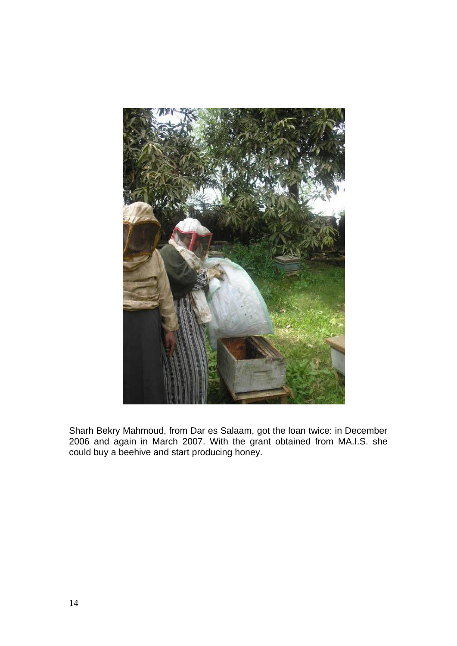

Sharh Bekry Mahmoud, from Dar es Salaam, got the loan twice: in December 2006 and again in March 2007. With the grant obtained from MA.I.S. she could buy a beehive and start producing honey.